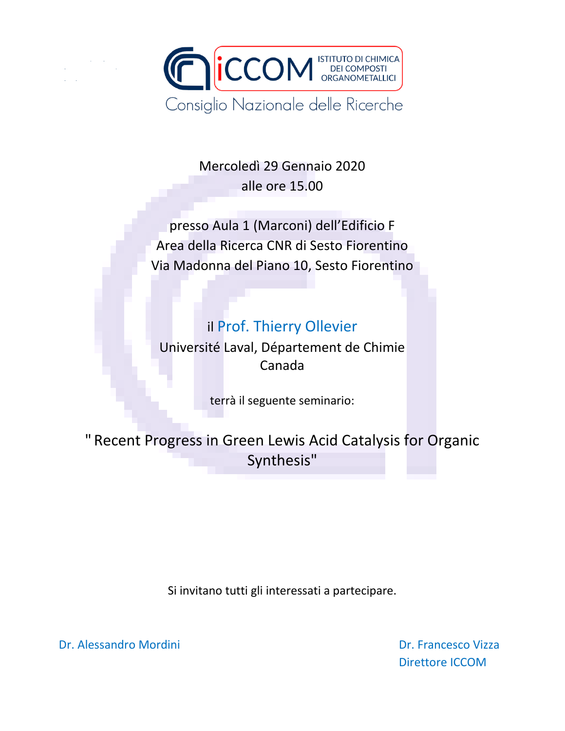

Mercoledì 29 Gennaio 2020 alle ore 15.00

presso Aula 1 (Marconi) dell'Edificio F Area della Ricerca CNR di Sesto Fiorentino Via Madonna del Piano 10, Sesto Fiorentino

# il Prof. Thierry Ollevier

Université Laval, Département de Chimie Canada

terrà il seguente seminario:

" Recent Progress in Green Lewis Acid Catalysis for Organic Synthesis"

Si invitano tutti gli interessati a partecipare.

Dr. Alessandro Mordini Dr. Francesco Vizza

Direttore ICCOM